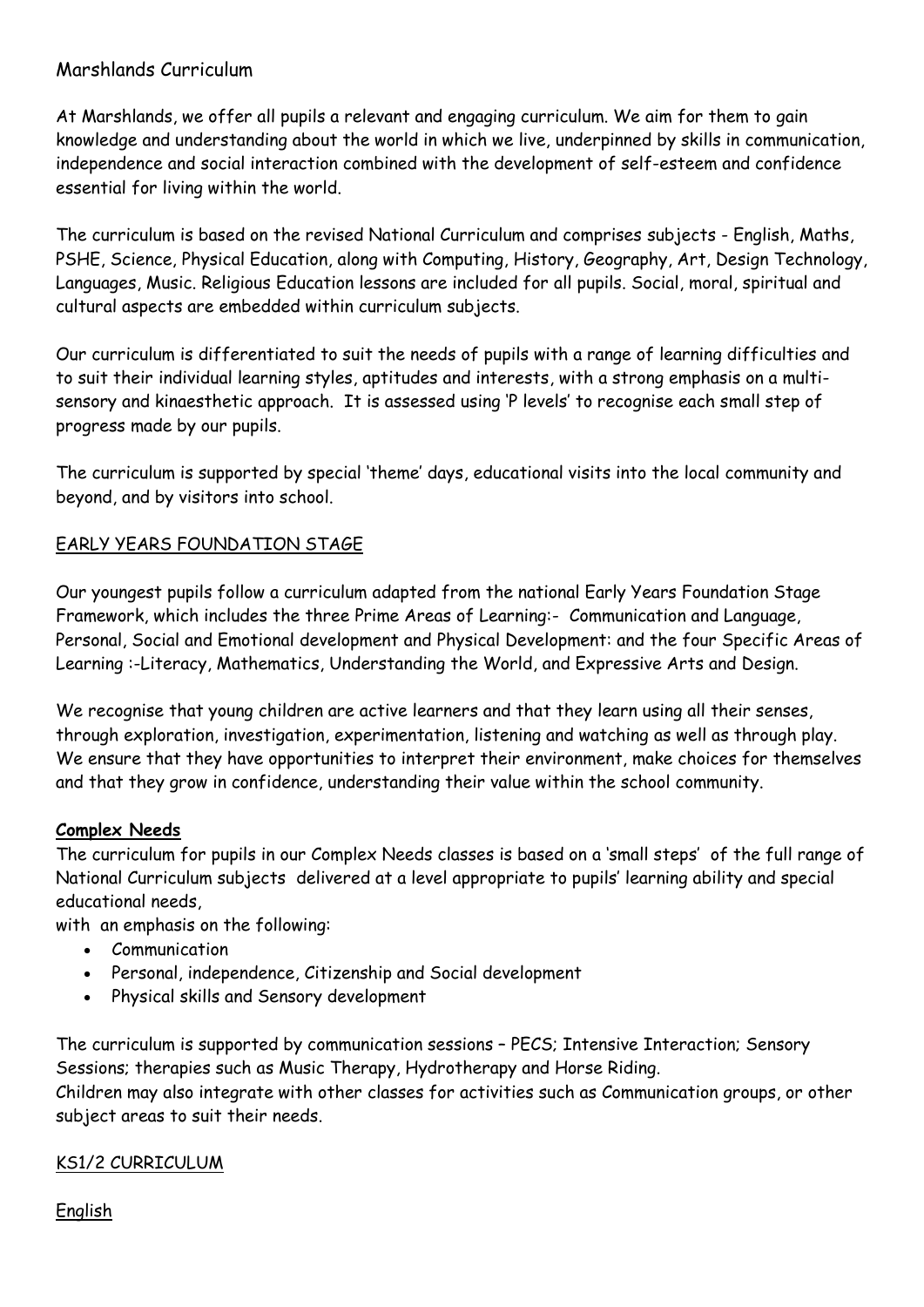## Marshlands Curriculum

At Marshlands, we offer all pupils a relevant and engaging curriculum. We aim for them to gain knowledge and understanding about the world in which we live, underpinned by skills in communication, independence and social interaction combined with the development of self-esteem and confidence essential for living within the world.

The curriculum is based on the revised National Curriculum and comprises subjects - English, Maths, PSHE, Science, Physical Education, along with Computing, History, Geography, Art, Design Technology, Languages, Music. Religious Education lessons are included for all pupils. Social, moral, spiritual and cultural aspects are embedded within curriculum subjects.

Our curriculum is differentiated to suit the needs of pupils with a range of learning difficulties and to suit their individual learning styles, aptitudes and interests, with a strong emphasis on a multisensory and kinaesthetic approach. It is assessed using 'P levels' to recognise each small step of progress made by our pupils.

The curriculum is supported by special 'theme' days, educational visits into the local community and beyond, and by visitors into school.

# EARLY YEARS FOUNDATION STAGE

Our youngest pupils follow a curriculum adapted from the national Early Years Foundation Stage Framework, which includes the three Prime Areas of Learning:- Communication and Language, Personal, Social and Emotional development and Physical Development: and the four Specific Areas of Learning :-Literacy, Mathematics, Understanding the World, and Expressive Arts and Design.

We recognise that young children are active learners and that they learn using all their senses, through exploration, investigation, experimentation, listening and watching as well as through play. We ensure that they have opportunities to interpret their environment, make choices for themselves and that they grow in confidence, understanding their value within the school community.

#### **Complex Needs**

The curriculum for pupils in our Complex Needs classes is based on a 'small steps' of the full range of National Curriculum subjects delivered at a level appropriate to pupils' learning ability and special educational needs,

with an emphasis on the following:

- Communication
- Personal, independence, Citizenship and Social development
- Physical skills and Sensory development

The curriculum is supported by communication sessions – PECS; Intensive Interaction; Sensory Sessions; therapies such as Music Therapy, Hydrotherapy and Horse Riding. Children may also integrate with other classes for activities such as Communication groups, or other subject areas to suit their needs.

#### KS1/2 CURRICULUM

English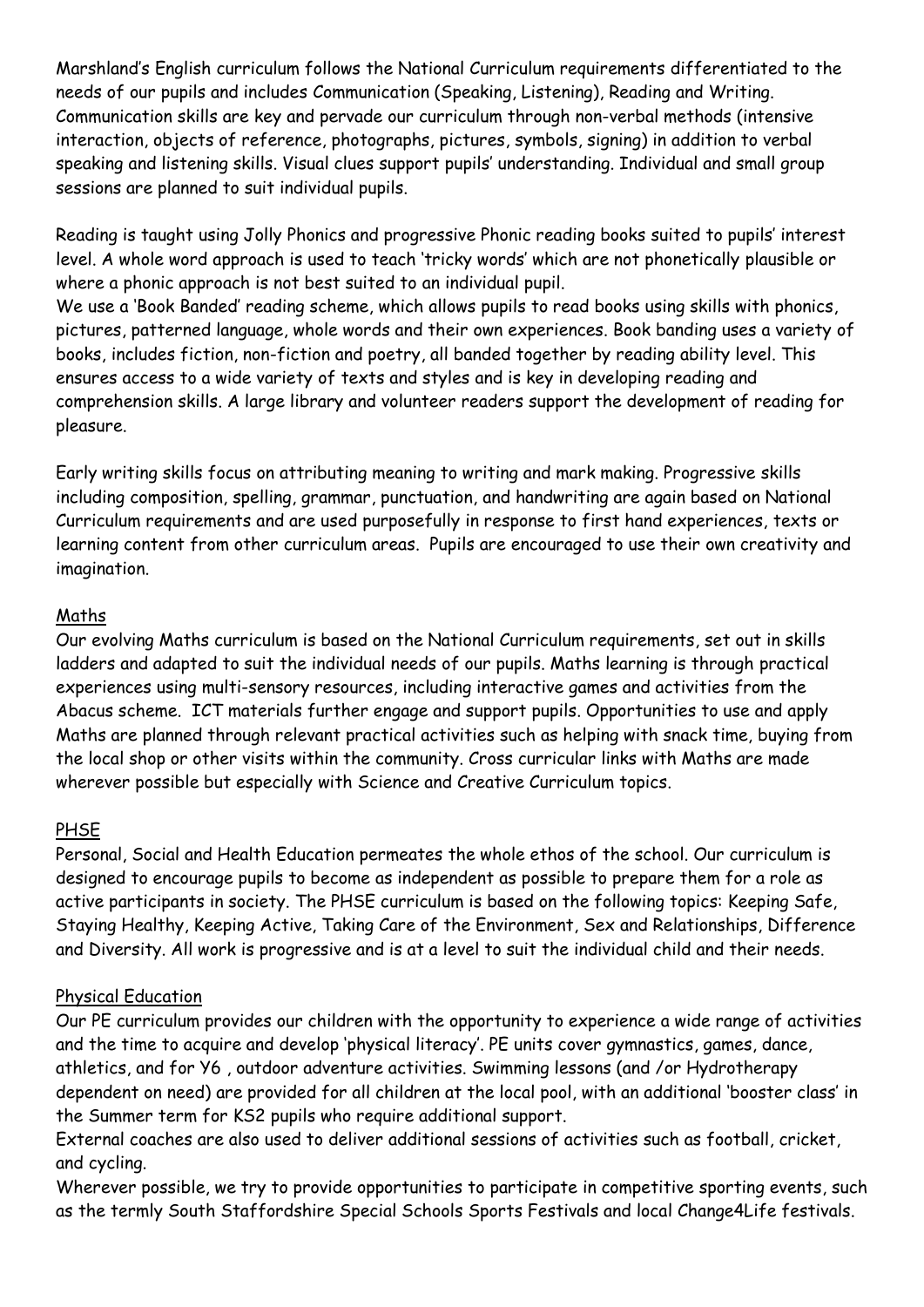Marshland's English curriculum follows the National Curriculum requirements differentiated to the needs of our pupils and includes Communication (Speaking, Listening), Reading and Writing. Communication skills are key and pervade our curriculum through non-verbal methods (intensive interaction, objects of reference, photographs, pictures, symbols, signing) in addition to verbal speaking and listening skills. Visual clues support pupils' understanding. Individual and small group sessions are planned to suit individual pupils.

Reading is taught using Jolly Phonics and progressive Phonic reading books suited to pupils' interest level. A whole word approach is used to teach 'tricky words' which are not phonetically plausible or where a phonic approach is not best suited to an individual pupil.

We use a 'Book Banded' reading scheme, which allows pupils to read books using skills with phonics, pictures, patterned language, whole words and their own experiences. Book banding uses a variety of books, includes fiction, non-fiction and poetry, all banded together by reading ability level. This ensures access to a wide variety of texts and styles and is key in developing reading and comprehension skills. A large library and volunteer readers support the development of reading for pleasure.

Early writing skills focus on attributing meaning to writing and mark making. Progressive skills including composition, spelling, grammar, punctuation, and handwriting are again based on National Curriculum requirements and are used purposefully in response to first hand experiences, texts or learning content from other curriculum areas. Pupils are encouraged to use their own creativity and imagination.

#### Maths

Our evolving Maths curriculum is based on the National Curriculum requirements, set out in skills ladders and adapted to suit the individual needs of our pupils. Maths learning is through practical experiences using multi-sensory resources, including interactive games and activities from the Abacus scheme. ICT materials further engage and support pupils. Opportunities to use and apply Maths are planned through relevant practical activities such as helping with snack time, buying from the local shop or other visits within the community. Cross curricular links with Maths are made wherever possible but especially with Science and Creative Curriculum topics.

#### PHSE

Personal, Social and Health Education permeates the whole ethos of the school. Our curriculum is designed to encourage pupils to become as independent as possible to prepare them for a role as active participants in society. The PHSE curriculum is based on the following topics: Keeping Safe, Staying Healthy, Keeping Active, Taking Care of the Environment, Sex and Relationships, Difference and Diversity. All work is progressive and is at a level to suit the individual child and their needs.

#### Physical Education

Our PE curriculum provides our children with the opportunity to experience a wide range of activities and the time to acquire and develop 'physical literacy'. PE units cover gymnastics, games, dance, athletics, and for Y6 , outdoor adventure activities. Swimming lessons (and /or Hydrotherapy dependent on need) are provided for all children at the local pool, with an additional 'booster class' in the Summer term for KS2 pupils who require additional support.

External coaches are also used to deliver additional sessions of activities such as football, cricket, and cycling.

Wherever possible, we try to provide opportunities to participate in competitive sporting events, such as the termly South Staffordshire Special Schools Sports Festivals and local Change4Life festivals.